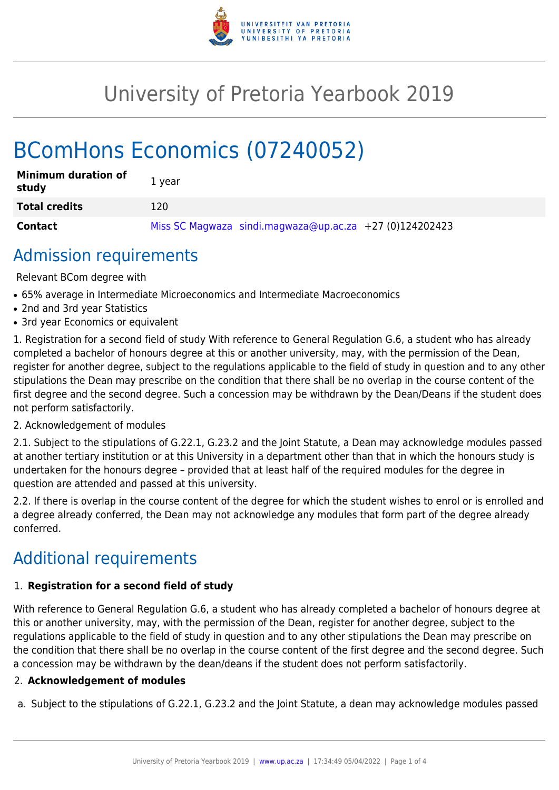

## University of Pretoria Yearbook 2019

# BComHons Economics (07240052)

| <b>Minimum duration of</b><br>study | 1 year                                                    |
|-------------------------------------|-----------------------------------------------------------|
| <b>Total credits</b>                | 120                                                       |
| <b>Contact</b>                      | Miss SC Magwaza sindi.magwaza@up.ac.za $+27$ (0)124202423 |

### Admission requirements

Relevant BCom degree with

- 65% average in Intermediate Microeconomics and Intermediate Macroeconomics
- 2nd and 3rd year Statistics
- 3rd year Economics or equivalent

1. Registration for a second field of study With reference to General Regulation G.6, a student who has already completed a bachelor of honours degree at this or another university, may, with the permission of the Dean, register for another degree, subject to the regulations applicable to the field of study in question and to any other stipulations the Dean may prescribe on the condition that there shall be no overlap in the course content of the first degree and the second degree. Such a concession may be withdrawn by the Dean/Deans if the student does not perform satisfactorily.

#### 2. Acknowledgement of modules

2.1. Subject to the stipulations of G.22.1, G.23.2 and the Joint Statute, a Dean may acknowledge modules passed at another tertiary institution or at this University in a department other than that in which the honours study is undertaken for the honours degree – provided that at least half of the required modules for the degree in question are attended and passed at this university.

2.2. If there is overlap in the course content of the degree for which the student wishes to enrol or is enrolled and a degree already conferred, the Dean may not acknowledge any modules that form part of the degree already conferred.

### Additional requirements

#### 1. **Registration for a second field of study**

With reference to General Regulation G.6, a student who has already completed a bachelor of honours degree at this or another university, may, with the permission of the Dean, register for another degree, subject to the regulations applicable to the field of study in question and to any other stipulations the Dean may prescribe on the condition that there shall be no overlap in the course content of the first degree and the second degree. Such a concession may be withdrawn by the dean/deans if the student does not perform satisfactorily.

#### 2. **Acknowledgement of modules**

a. Subject to the stipulations of G.22.1, G.23.2 and the Joint Statute, a dean may acknowledge modules passed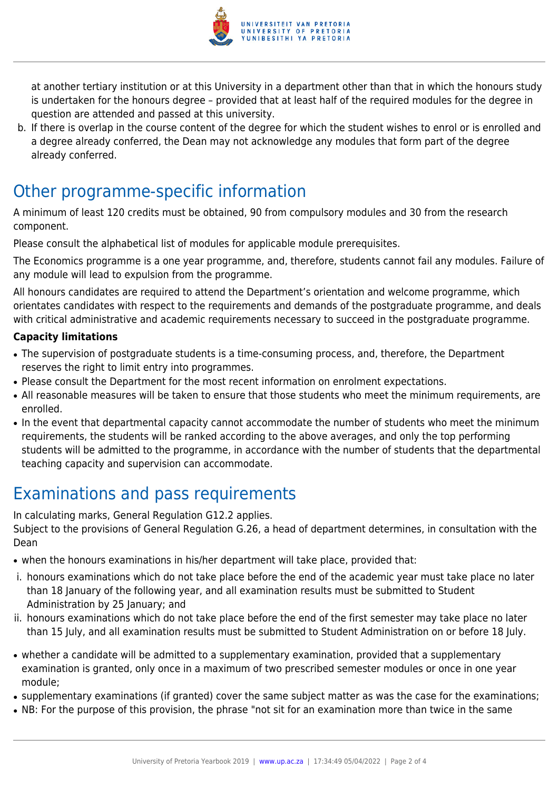

at another tertiary institution or at this University in a department other than that in which the honours study is undertaken for the honours degree – provided that at least half of the required modules for the degree in question are attended and passed at this university.

b. If there is overlap in the course content of the degree for which the student wishes to enrol or is enrolled and a degree already conferred, the Dean may not acknowledge any modules that form part of the degree already conferred.

### Other programme-specific information

A minimum of least 120 credits must be obtained, 90 from compulsory modules and 30 from the research component.

Please consult the alphabetical list of modules for applicable module prerequisites.

The Economics programme is a one year programme, and, therefore, students cannot fail any modules. Failure of any module will lead to expulsion from the programme.

All honours candidates are required to attend the Department's orientation and welcome programme, which orientates candidates with respect to the requirements and demands of the postgraduate programme, and deals with critical administrative and academic requirements necessary to succeed in the postgraduate programme.

#### **Capacity limitations**

- The supervision of postgraduate students is a time-consuming process, and, therefore, the Department reserves the right to limit entry into programmes.
- Please consult the Department for the most recent information on enrolment expectations.
- All reasonable measures will be taken to ensure that those students who meet the minimum requirements, are enrolled.
- In the event that departmental capacity cannot accommodate the number of students who meet the minimum requirements, the students will be ranked according to the above averages, and only the top performing students will be admitted to the programme, in accordance with the number of students that the departmental teaching capacity and supervision can accommodate.

### Examinations and pass requirements

In calculating marks, General Regulation G12.2 applies. Subject to the provisions of General Regulation G.26, a head of department determines, in consultation with the Dean

- when the honours examinations in his/her department will take place, provided that:
- i. honours examinations which do not take place before the end of the academic year must take place no later than 18 January of the following year, and all examination results must be submitted to Student Administration by 25 January; and
- ii. honours examinations which do not take place before the end of the first semester may take place no later than 15 July, and all examination results must be submitted to Student Administration on or before 18 July.
- whether a candidate will be admitted to a supplementary examination, provided that a supplementary examination is granted, only once in a maximum of two prescribed semester modules or once in one year module;
- supplementary examinations (if granted) cover the same subject matter as was the case for the examinations;
- NB: For the purpose of this provision, the phrase "not sit for an examination more than twice in the same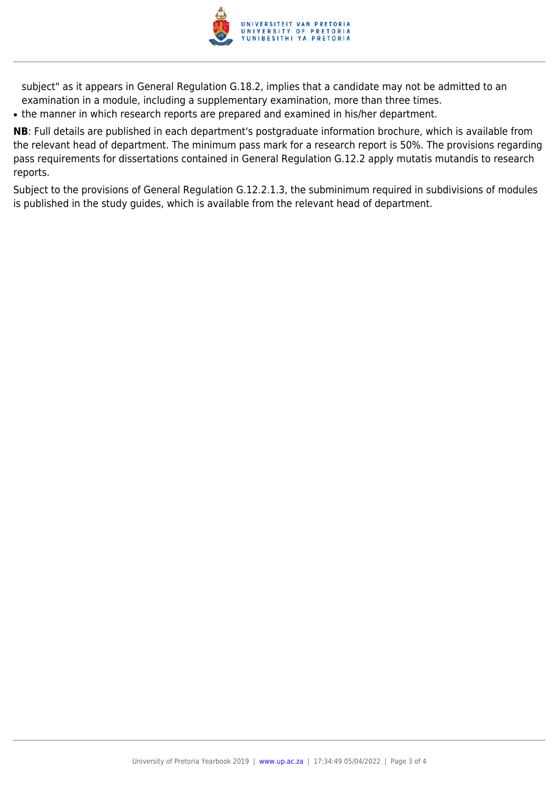

subject" as it appears in General Regulation G.18.2, implies that a candidate may not be admitted to an examination in a module, including a supplementary examination, more than three times.

• the manner in which research reports are prepared and examined in his/her department.

**NB**: Full details are published in each department's postgraduate information brochure, which is available from the relevant head of department. The minimum pass mark for a research report is 50%. The provisions regarding pass requirements for dissertations contained in General Regulation G.12.2 apply mutatis mutandis to research reports.

Subject to the provisions of General Regulation G.12.2.1.3, the subminimum required in subdivisions of modules is published in the study guides, which is available from the relevant head of department.